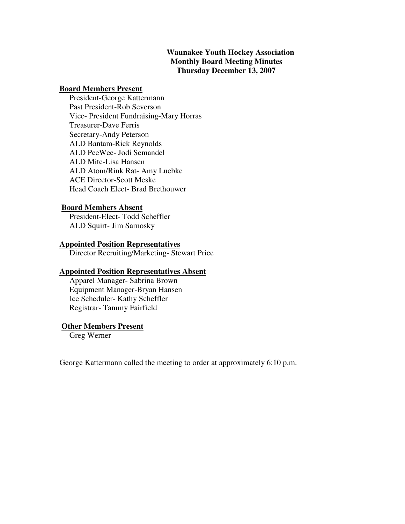## **Waunakee Youth Hockey Association Monthly Board Meeting Minutes Thursday December 13, 2007**

### **Board Members Present**

 President-George Kattermann Past President-Rob Severson Vice- President Fundraising-Mary Horras Treasurer-Dave Ferris Secretary-Andy Peterson ALD Bantam-Rick Reynolds ALD PeeWee- Jodi Semandel ALD Mite-Lisa Hansen ALD Atom/Rink Rat- Amy Luebke ACE Director-Scott Meske Head Coach Elect- Brad Brethouwer

### **Board Members Absent**

 President-Elect- Todd Scheffler ALD Squirt- Jim Sarnosky

## **Appointed Position Representatives**

Director Recruiting/Marketing- Stewart Price

### **Appointed Position Representatives Absent**

 Apparel Manager- Sabrina Brown Equipment Manager-Bryan Hansen Ice Scheduler- Kathy Scheffler Registrar- Tammy Fairfield

### **Other Members Present**

Greg Werner

George Kattermann called the meeting to order at approximately 6:10 p.m.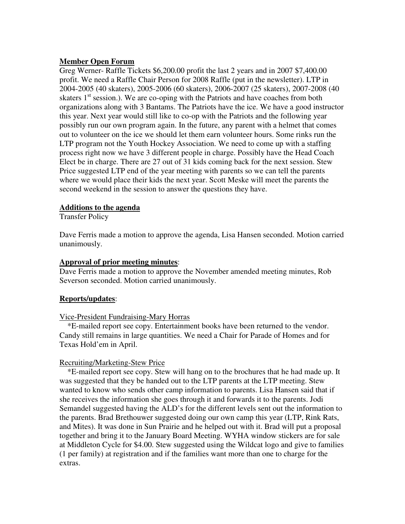## **Member Open Forum**

Greg Werner- Raffle Tickets \$6,200.00 profit the last 2 years and in 2007 \$7,400.00 profit. We need a Raffle Chair Person for 2008 Raffle (put in the newsletter). LTP in 2004-2005 (40 skaters), 2005-2006 (60 skaters), 2006-2007 (25 skaters), 2007-2008 (40 skaters  $1<sup>st</sup>$  session.). We are co-oping with the Patriots and have coaches from both organizations along with 3 Bantams. The Patriots have the ice. We have a good instructor this year. Next year would still like to co-op with the Patriots and the following year possibly run our own program again. In the future, any parent with a helmet that comes out to volunteer on the ice we should let them earn volunteer hours. Some rinks run the LTP program not the Youth Hockey Association. We need to come up with a staffing process right now we have 3 different people in charge. Possibly have the Head Coach Elect be in charge. There are 27 out of 31 kids coming back for the next session. Stew Price suggested LTP end of the year meeting with parents so we can tell the parents where we would place their kids the next year. Scott Meske will meet the parents the second weekend in the session to answer the questions they have.

## **Additions to the agenda**

Transfer Policy

Dave Ferris made a motion to approve the agenda, Lisa Hansen seconded. Motion carried unanimously.

## **Approval of prior meeting minutes**:

Dave Ferris made a motion to approve the November amended meeting minutes, Rob Severson seconded. Motion carried unanimously.

# **Reports/updates**:

## Vice-President Fundraising-Mary Horras

\*E-mailed report see copy. Entertainment books have been returned to the vendor. Candy still remains in large quantities. We need a Chair for Parade of Homes and for Texas Hold'em in April.

## Recruiting/Marketing-Stew Price

 \*E-mailed report see copy. Stew will hang on to the brochures that he had made up. It was suggested that they be handed out to the LTP parents at the LTP meeting. Stew wanted to know who sends other camp information to parents. Lisa Hansen said that if she receives the information she goes through it and forwards it to the parents. Jodi Semandel suggested having the ALD's for the different levels sent out the information to the parents. Brad Brethouwer suggested doing our own camp this year (LTP, Rink Rats, and Mites). It was done in Sun Prairie and he helped out with it. Brad will put a proposal together and bring it to the January Board Meeting. WYHA window stickers are for sale at Middleton Cycle for \$4.00. Stew suggested using the Wildcat logo and give to families (1 per family) at registration and if the families want more than one to charge for the extras.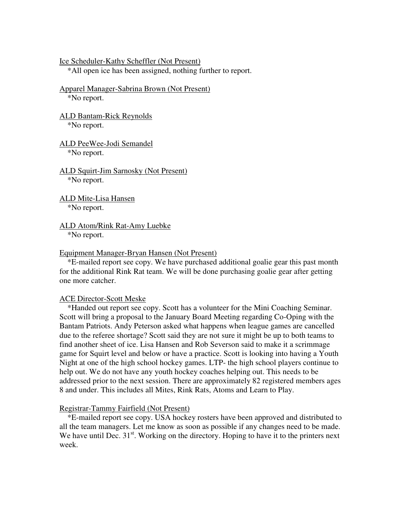Ice Scheduler-Kathy Scheffler (Not Present)

\*All open ice has been assigned, nothing further to report.

Apparel Manager-Sabrina Brown (Not Present) \*No report.

ALD Bantam-Rick Reynolds \*No report.

ALD PeeWee-Jodi Semandel \*No report.

ALD Squirt-Jim Sarnosky (Not Present) \*No report.

ALD Mite-Lisa Hansen \*No report.

ALD Atom/Rink Rat-Amy Luebke \*No report.

#### Equipment Manager-Bryan Hansen (Not Present)

 \*E-mailed report see copy. We have purchased additional goalie gear this past month for the additional Rink Rat team. We will be done purchasing goalie gear after getting one more catcher.

### ACE Director-Scott Meske

 \*Handed out report see copy. Scott has a volunteer for the Mini Coaching Seminar. Scott will bring a proposal to the January Board Meeting regarding Co-Oping with the Bantam Patriots. Andy Peterson asked what happens when league games are cancelled due to the referee shortage? Scott said they are not sure it might be up to both teams to find another sheet of ice. Lisa Hansen and Rob Severson said to make it a scrimmage game for Squirt level and below or have a practice. Scott is looking into having a Youth Night at one of the high school hockey games. LTP- the high school players continue to help out. We do not have any youth hockey coaches helping out. This needs to be addressed prior to the next session. There are approximately 82 registered members ages 8 and under. This includes all Mites, Rink Rats, Atoms and Learn to Play.

### Registrar-Tammy Fairfield (Not Present)

 \*E-mailed report see copy. USA hockey rosters have been approved and distributed to all the team managers. Let me know as soon as possible if any changes need to be made. We have until Dec.  $31<sup>st</sup>$ . Working on the directory. Hoping to have it to the printers next week.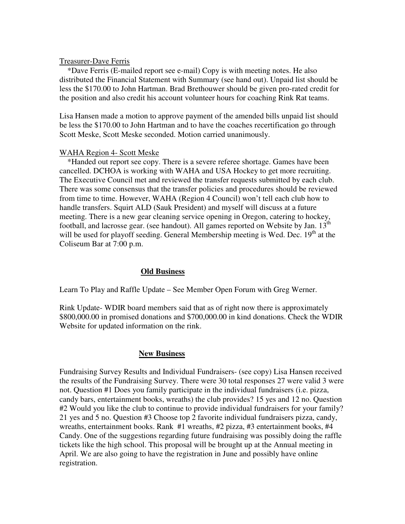### Treasurer-Dave Ferris

 \*Dave Ferris (E-mailed report see e-mail) Copy is with meeting notes. He also distributed the Financial Statement with Summary (see hand out). Unpaid list should be less the \$170.00 to John Hartman. Brad Brethouwer should be given pro-rated credit for the position and also credit his account volunteer hours for coaching Rink Rat teams.

Lisa Hansen made a motion to approve payment of the amended bills unpaid list should be less the \$170.00 to John Hartman and to have the coaches recertification go through Scott Meske, Scott Meske seconded. Motion carried unanimously.

### WAHA Region 4- Scott Meske

 \*Handed out report see copy. There is a severe referee shortage. Games have been cancelled. DCHOA is working with WAHA and USA Hockey to get more recruiting. The Executive Council met and reviewed the transfer requests submitted by each club. There was some consensus that the transfer policies and procedures should be reviewed from time to time. However, WAHA (Region 4 Council) won't tell each club how to handle transfers. Squirt ALD (Sauk President) and myself will discuss at a future meeting. There is a new gear cleaning service opening in Oregon, catering to hockey, football, and lacrosse gear. (see handout). All games reported on Website by Jan.  $13<sup>th</sup>$ will be used for playoff seeding. General Membership meeting is Wed. Dec.  $19<sup>th</sup>$  at the Coliseum Bar at 7:00 p.m.

## **Old Business**

Learn To Play and Raffle Update – See Member Open Forum with Greg Werner.

Rink Update- WDIR board members said that as of right now there is approximately \$800,000.00 in promised donations and \$700,000.00 in kind donations. Check the WDIR Website for updated information on the rink.

## **New Business**

Fundraising Survey Results and Individual Fundraisers- (see copy) Lisa Hansen received the results of the Fundraising Survey. There were 30 total responses 27 were valid 3 were not. Question #1 Does you family participate in the individual fundraisers (i.e. pizza, candy bars, entertainment books, wreaths) the club provides? 15 yes and 12 no. Question #2 Would you like the club to continue to provide individual fundraisers for your family? 21 yes and 5 no. Question #3 Choose top 2 favorite individual fundraisers pizza, candy, wreaths, entertainment books. Rank #1 wreaths, #2 pizza, #3 entertainment books, #4 Candy. One of the suggestions regarding future fundraising was possibly doing the raffle tickets like the high school. This proposal will be brought up at the Annual meeting in April. We are also going to have the registration in June and possibly have online registration.